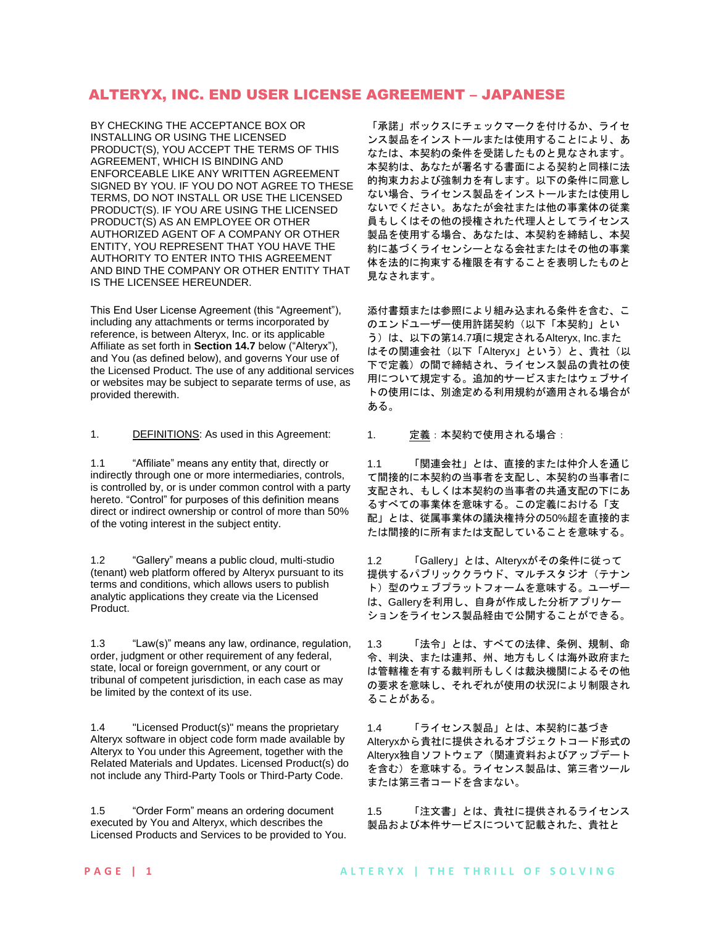# ALTERYX, INC. END USER LICENSE AGREEMENT – JAPANESE

BY CHECKING THE ACCEPTANCE BOX OR INSTALLING OR USING THE LICENSED PRODUCT(S), YOU ACCEPT THE TERMS OF THIS AGREEMENT, WHICH IS BINDING AND ENFORCEABLE LIKE ANY WRITTEN AGREEMENT SIGNED BY YOU. IF YOU DO NOT AGREE TO THESE TERMS, DO NOT INSTALL OR USE THE LICENSED PRODUCT(S). IF YOU ARE USING THE LICENSED PRODUCT(S) AS AN EMPLOYEE OR OTHER AUTHORIZED AGENT OF A COMPANY OR OTHER ENTITY, YOU REPRESENT THAT YOU HAVE THE AUTHORITY TO ENTER INTO THIS AGREEMENT AND BIND THE COMPANY OR OTHER ENTITY THAT IS THE LICENSEE HEREUNDER.

This End User License Agreement (this "Agreement"), including any attachments or terms incorporated by reference, is between Alteryx, Inc. or its applicable Affiliate as set forth in **Section 14.7** below ("Alteryx"), and You (as defined below), and governs Your use of the Licensed Product. The use of any additional services or websites may be subject to separate terms of use, as provided therewith.

1. DEFINITIONS: As used in this Agreement: 1. 定義:本契約で使用される場合:

1.1 "Affiliate" means any entity that, directly or indirectly through one or more intermediaries, controls, is controlled by, or is under common control with a party hereto. "Control" for purposes of this definition means direct or indirect ownership or control of more than 50% of the voting interest in the subject entity.

1.2 "Gallery" means a public cloud, multi-studio (tenant) web platform offered by Alteryx pursuant to its terms and conditions, which allows users to publish analytic applications they create via the Licensed Product.

1.3 "Law(s)" means any law, ordinance, regulation, order, judgment or other requirement of any federal, state, local or foreign government, or any court or tribunal of competent jurisdiction, in each case as may be limited by the context of its use.

1.4 "Licensed Product(s)" means the proprietary Alteryx software in object code form made available by Alteryx to You under this Agreement, together with the Related Materials and Updates. Licensed Product(s) do not include any Third-Party Tools or Third-Party Code.

1.5 "Order Form" means an ordering document executed by You and Alteryx, which describes the Licensed Products and Services to be provided to You.

「承諾」ボックスにチェックマークを付けるか、ライセ ンス製品をインストールまたは使用することにより、あ なたは、本契約の条件を受諾したものと見なされます。 本契約は、あなたが署名する書面による契約と同様に法 的拘束力および強制力を有します。以下の条件に同意し ない場合、ライセンス製品をインストールまたは使用し ないでください。あなたが会社または他の事業体の従業 員もしくはその他の授権された代理人としてライセンス 製品を使用する場合、あなたは、本契約を締結し、本契 約に基づくライセンシーとなる会社またはその他の事業 体を法的に拘束する権限を有することを表明したものと 見なされます。

添付書類または参照により組み込まれる条件を含む、こ のエンドユーザー使用許諾契約(以下「本契約」とい う)は、以下の第14.7項に規定されるAlteryx, Inc.また はその関連会社(以下「Alteryx」という)と、貴社(以 下で定義)の間で締結され、ライセンス製品の貴社の使 用について規定する。追加的サービスまたはウェブサイ トの使用には、別途定める利用規約が適用される場合が ある。

1.1 「関連会社」とは、直接的または仲介人を通じ て間接的に本契約の当事者を支配し、本契約の当事者に 支配され、もしくは本契約の当事者の共通支配の下にあ るすべての事業体を意味する。この定義における「支 配」とは、従属事業体の議決権持分の50%超を直接的ま たは間接的に所有または支配していることを意味する。

1.2 「Gallery」とは、Alteryxがその条件に従って 提供するパブリッククラウド、マルチスタジオ(テナン ト)型のウェブプラットフォームを意味する。ユーザー は、Galleryを利用し、自身が作成した分析アプリケー ションをライセンス製品経由で公開することができる。

1.3 「法令」とは、すべての法律、条例、規制、命 令、判決、または連邦、州、地方もしくは海外政府また は管轄権を有する裁判所もしくは裁決機関によるその他 の要求を意味し、それぞれが使用の状況により制限され ることがある。

1.4 「ライセンス製品」とは、本契約に基づき Alteryxから貴社に提供されるオブジェクトコード形式の Alteryx独自ソフトウェア(関連資料およびアップデート を含む)を意味する。ライセンス製品は、第三者ツール または第三者コードを含まない。

1.5 「注文書」とは、貴社に提供されるライセンス 製品および本件サービスについて記載された、貴社と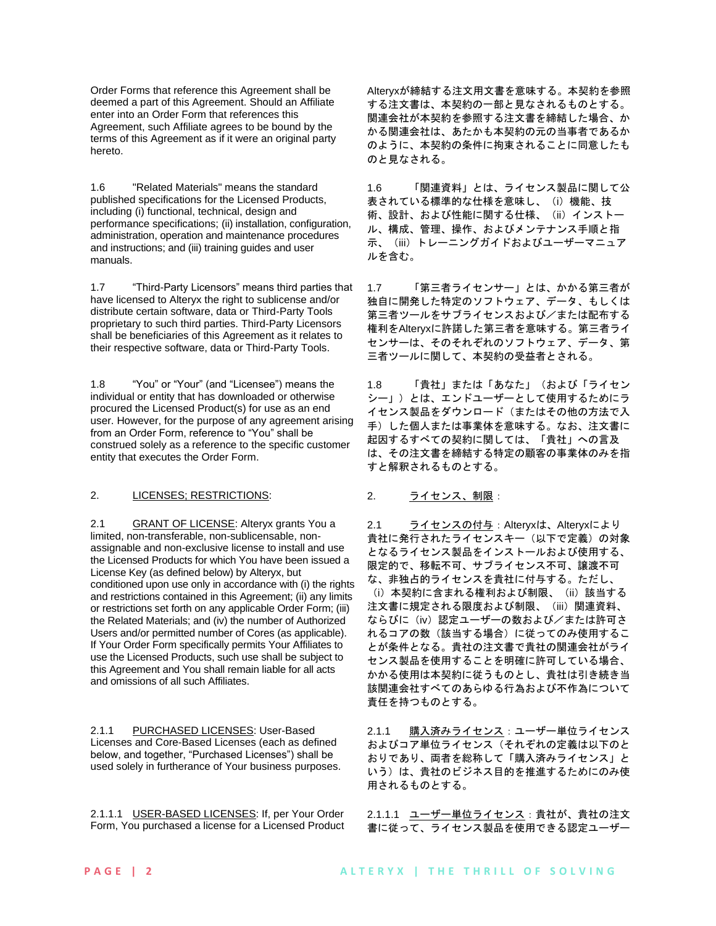Order Forms that reference this Agreement shall be deemed a part of this Agreement. Should an Affiliate enter into an Order Form that references this Agreement, such Affiliate agrees to be bound by the terms of this Agreement as if it were an original party hereto.

1.6 "Related Materials" means the standard published specifications for the Licensed Products, including (i) functional, technical, design and performance specifications; (ii) installation, configuration, administration, operation and maintenance procedures and instructions; and (iii) training guides and user manuals.

1.7 "Third-Party Licensors" means third parties that have licensed to Alteryx the right to sublicense and/or distribute certain software, data or Third-Party Tools proprietary to such third parties. Third-Party Licensors shall be beneficiaries of this Agreement as it relates to their respective software, data or Third-Party Tools.

1.8 "You" or "Your" (and "Licensee") means the individual or entity that has downloaded or otherwise procured the Licensed Product(s) for use as an end user. However, for the purpose of any agreement arising from an Order Form, reference to "You" shall be construed solely as a reference to the specific customer entity that executes the Order Form.

# 2. LICENSES: RESTRICTIONS: 2. ライセンス、制限:

2.1 GRANT OF LICENSE: Alteryx grants You a limited, non-transferable, non-sublicensable, nonassignable and non-exclusive license to install and use the Licensed Products for which You have been issued a License Key (as defined below) by Alteryx, but conditioned upon use only in accordance with (i) the rights and restrictions contained in this Agreement; (ii) any limits or restrictions set forth on any applicable Order Form; (iii) the Related Materials; and (iv) the number of Authorized Users and/or permitted number of Cores (as applicable). If Your Order Form specifically permits Your Affiliates to use the Licensed Products, such use shall be subject to this Agreement and You shall remain liable for all acts and omissions of all such Affiliates.

2.1.1 PURCHASED LICENSES: User-Based Licenses and Core-Based Licenses (each as defined below, and together, "Purchased Licenses") shall be used solely in furtherance of Your business purposes.

2.1.1.1 USER-BASED LICENSES: If, per Your Order Form, You purchased a license for a Licensed Product Alteryxが締結する注文用文書を意味する。本契約を参照 する注文書は、本契約の一部と見なされるものとする。 関連会社が本契約を参照する注文書を締結した場合、か かる関連会社は、あたかも本契約の元の当事者であるか のように、本契約の条件に拘束されることに同意したも のと見なされる。

1.6 「関連資料」とは、ライセンス製品に関して公 表されている標準的な仕様を意味し、(i)機能、技 術、設計、および性能に関する仕様、(ii)インストー ル、構成、管理、操作、およびメンテナンス手順と指 示、(iii)トレーニングガイドおよびユーザーマニュア ルを含む。

1.7 「第三者ライセンサー」とは、かかる第三者が 独自に開発した特定のソフトウェア、データ、もしくは 第三者ツールをサブライセンスおよび/または配布する 権利をAlteryxに許諾した第三者を意味する。第三者ライ センサーは、そのそれぞれのソフトウェア、データ、第 三者ツールに関して、本契約の受益者とされる。

1.8 「貴社」または「あなた」(および「ライセン シー」)とは、エンドユーザーとして使用するためにラ イセンス製品をダウンロード(またはその他の方法で入 手)した個人または事業体を意味する。なお、注文書に 起因するすべての契約に関しては、「貴社」への言及 は、その注文書を締結する特定の顧客の事業体のみを指 すと解釈されるものとする。

2.1 ライセンスの付与:Alteryxは、Alteryxにより 貴社に発行されたライセンスキー(以下で定義)の対象 となるライセンス製品をインストールおよび使用する、 限定的で、移転不可、サブライセンス不可、譲渡不可 な、非独占的ライセンスを貴社に付与する。ただし、 (i)本契約に含まれる権利および制限、(ii)該当する 注文書に規定される限度および制限、(iii)関連資料、 ならびに(iv)認定ユーザーの数および/または許可さ れるコアの数(該当する場合)に従ってのみ使用するこ とが条件となる。貴社の注文書で貴社の関連会社がライ センス製品を使用することを明確に許可している場合、 かかる使用は本契約に従うものとし、貴社は引き続き当 該関連会社すべてのあらゆる行為および不作為について 責任を持つものとする。

2.1.1 購入済みライセンス:ユーザー単位ライセンス およびコア単位ライセンス(それぞれの定義は以下のと おりであり、両者を総称して「購入済みライセンス」と いう)は、貴社のビジネス目的を推進するためにのみ使 用されるものとする。

2.1.1.1 ユーザー単位ライセンス:貴社が、貴社の注文 書に従って、ライセンス製品を使用できる認定ユーザー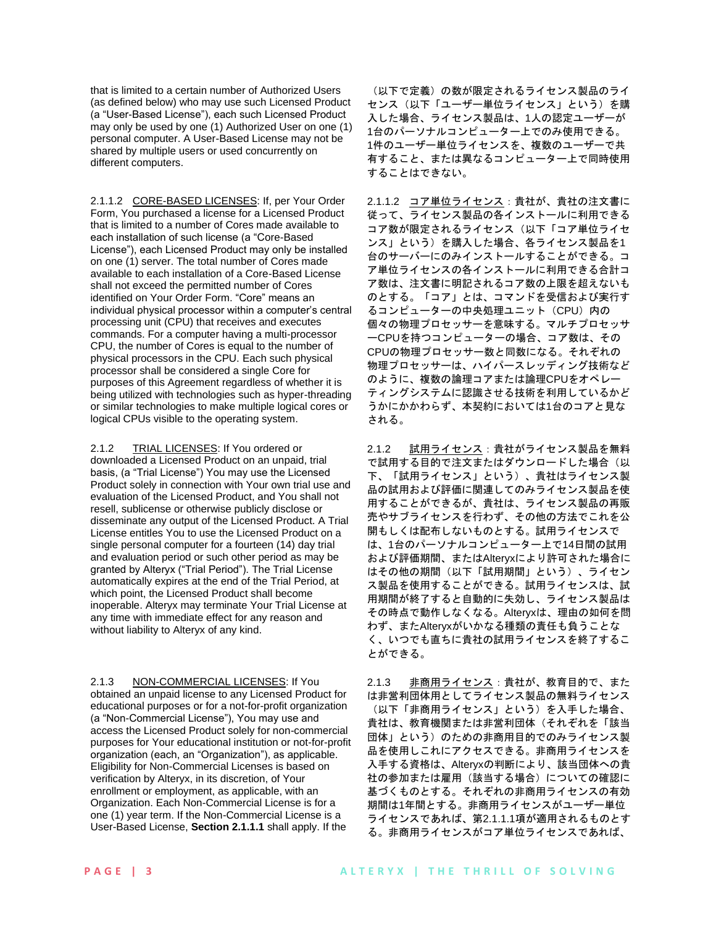that is limited to a certain number of Authorized Users (as defined below) who may use such Licensed Product (a "User-Based License"), each such Licensed Product may only be used by one (1) Authorized User on one (1) personal computer. A User-Based License may not be shared by multiple users or used concurrently on different computers.

2.1.1.2 CORE-BASED LICENSES: If, per Your Order Form, You purchased a license for a Licensed Product that is limited to a number of Cores made available to each installation of such license (a "Core-Based License"), each Licensed Product may only be installed on one (1) server. The total number of Cores made available to each installation of a Core-Based License shall not exceed the permitted number of Cores identified on Your Order Form. "Core" means an individual physical processor within a computer's central processing unit (CPU) that receives and executes commands. For a computer having a multi-processor CPU, the number of Cores is equal to the number of physical processors in the CPU. Each such physical processor shall be considered a single Core for purposes of this Agreement regardless of whether it is being utilized with technologies such as hyper-threading or similar technologies to make multiple logical cores or logical CPUs visible to the operating system.

2.1.2 TRIAL LICENSES: If You ordered or downloaded a Licensed Product on an unpaid, trial basis, (a "Trial License") You may use the Licensed Product solely in connection with Your own trial use and evaluation of the Licensed Product, and You shall not resell, sublicense or otherwise publicly disclose or disseminate any output of the Licensed Product. A Trial License entitles You to use the Licensed Product on a single personal computer for a fourteen (14) day trial and evaluation period or such other period as may be granted by Alteryx ("Trial Period"). The Trial License automatically expires at the end of the Trial Period, at which point, the Licensed Product shall become inoperable. Alteryx may terminate Your Trial License at any time with immediate effect for any reason and without liability to Alteryx of any kind.

2.1.3 NON-COMMERCIAL LICENSES: If You obtained an unpaid license to any Licensed Product for educational purposes or for a not-for-profit organization (a "Non-Commercial License"), You may use and access the Licensed Product solely for non-commercial purposes for Your educational institution or not-for-profit organization (each, an "Organization"), as applicable. Eligibility for Non-Commercial Licenses is based on verification by Alteryx, in its discretion, of Your enrollment or employment, as applicable, with an Organization. Each Non-Commercial License is for a one (1) year term. If the Non-Commercial License is a User-Based License, **Section 2.1.1.1** shall apply. If the

(以下で定義)の数が限定されるライセンス製品のライ センス(以下「ユーザー単位ライセンス」という)を購 入した場合、ライセンス製品は、1人の認定ユーザーが 1台のパーソナルコンピューター上でのみ使用できる。 1件のユーザー単位ライセンスを、複数のユーザーで共 有すること、または異なるコンピューター上で同時使用 することはできない。

2.1.1.2 コア単位ライセンス:貴社が、貴社の注文書に 従って、ライセンス製品の各インストールに利用できる コア数が限定されるライセンス(以下「コア単位ライセ ンス」という)を購入した場合、各ライセンス製品を1 台のサーバーにのみインストールすることができる。コ ア単位ライセンスの各インストールに利用できる合計コ ア数は、注文書に明記されるコア数の上限を超えないも のとする。「コア」とは、コマンドを受信および実行す るコンピューターの中央処理ユニット (CPU) 内の 個々の物理プロセッサーを意味する。マルチプロセッサ ーCPUを持つコンピューターの場合、コア数は、その CPUの物理プロセッサー数と同数になる。それぞれの 物理プロセッサーは、ハイパースレッディング技術など のように、複数の論理コアまたは論理CPUをオペレー ティングシステムに認識させる技術を利用しているかど うかにかかわらず、本契約においては1台のコアと見な される。

2.1.2 試用ライセンス:貴社がライセンス製品を無料 で試用する目的で注文またはダウンロードした場合(以 下、「試用ライセンス」という)、貴社はライセンス製 品の試用および評価に関連してのみライセンス製品を使 用することができるが、貴社は、ライセンス製品の再販 売やサブライセンスを行わず、その他の方法でこれを公 開もしくは配布しないものとする。試用ライセンスで は、1台のパーソナルコンピューター上で14日間の試用 および評価期間、またはAlteryxにより許可された場合に はその他の期間(以下「試用期間」という)、ライセン ス製品を使用することができる。試用ライセンスは、試 用期間が終了すると自動的に失効し、ライセンス製品は その時点で動作しなくなる。Alteryxは、理由の如何を問 わず、またAlteryxがいかなる種類の責任も負うことな く、いつでも直ちに貴社の試用ライセンスを終了するこ とができる。

2.1.3 非商用ライセンス:貴社が、教育目的で、また は非営利団体用としてライセンス製品の無料ライセンス (以下「非商用ライセンス」という)を入手した場合、 貴社は、教育機関または非営利団体(それぞれを「該当 団体」という)のための非商用目的でのみライセンス製 品を使用しこれにアクセスできる。非商用ライセンスを 入手する資格は、Alteryxの判断により、該当団体への貴 社の参加または雇用(該当する場合)についての確認に 基づくものとする。それぞれの非商用ライセンスの有効 期間は1年間とする。非商用ライセンスがユーザー単位 ライセンスであれば、第2.1.1.1項が適用されるものとす る。非商用ライセンスがコア単位ライセンスであれば、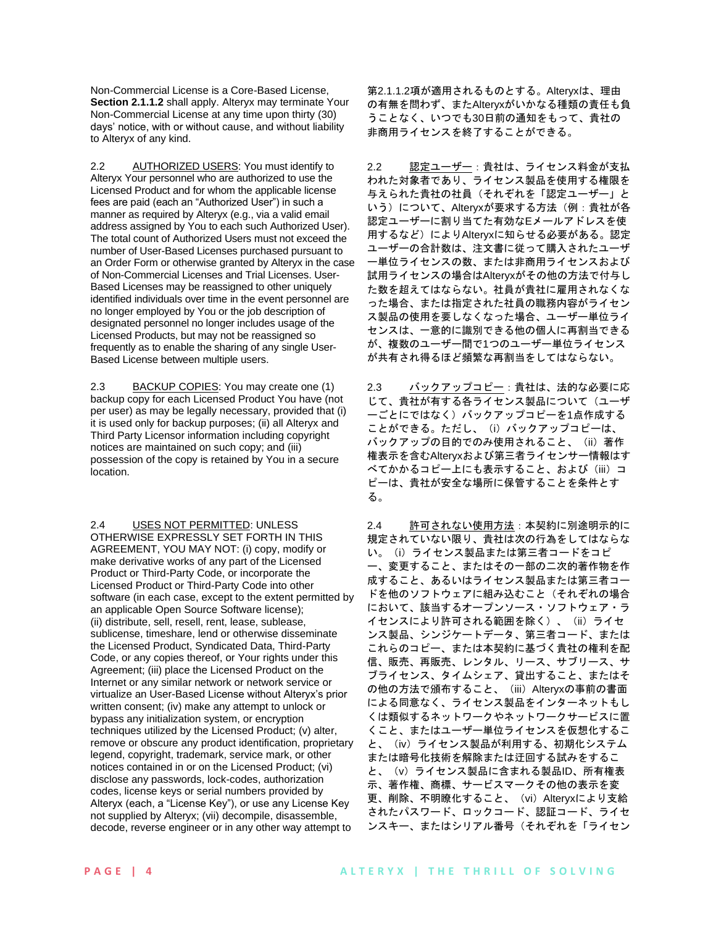Non-Commercial License is a Core-Based License, **Section 2.1.1.2** shall apply. Alteryx may terminate Your Non-Commercial License at any time upon thirty (30) days' notice, with or without cause, and without liability to Alteryx of any kind.

2.2 AUTHORIZED USERS: You must identify to Alteryx Your personnel who are authorized to use the Licensed Product and for whom the applicable license fees are paid (each an "Authorized User") in such a manner as required by Alteryx (e.g., via a valid email address assigned by You to each such Authorized User). The total count of Authorized Users must not exceed the number of User-Based Licenses purchased pursuant to an Order Form or otherwise granted by Alteryx in the case of Non-Commercial Licenses and Trial Licenses. User-Based Licenses may be reassigned to other uniquely identified individuals over time in the event personnel are no longer employed by You or the job description of designated personnel no longer includes usage of the Licensed Products, but may not be reassigned so frequently as to enable the sharing of any single User-Based License between multiple users.

2.3 BACKUP COPIES: You may create one (1) backup copy for each Licensed Product You have (not per user) as may be legally necessary, provided that (i) it is used only for backup purposes; (ii) all Alteryx and Third Party Licensor information including copyright notices are maintained on such copy; and (iii) possession of the copy is retained by You in a secure location.

2.4 USES NOT PERMITTED: UNLESS OTHERWISE EXPRESSLY SET FORTH IN THIS AGREEMENT, YOU MAY NOT: (i) copy, modify or make derivative works of any part of the Licensed Product or Third-Party Code, or incorporate the Licensed Product or Third-Party Code into other software (in each case, except to the extent permitted by an applicable Open Source Software license); (ii) distribute, sell, resell, rent, lease, sublease, sublicense, timeshare, lend or otherwise disseminate the Licensed Product, Syndicated Data, Third-Party Code, or any copies thereof, or Your rights under this Agreement; (iii) place the Licensed Product on the Internet or any similar network or network service or virtualize an User-Based License without Alteryx's prior written consent; (iv) make any attempt to unlock or bypass any initialization system, or encryption techniques utilized by the Licensed Product; (v) alter, remove or obscure any product identification, proprietary legend, copyright, trademark, service mark, or other notices contained in or on the Licensed Product; (vi) disclose any passwords, lock-codes, authorization codes, license keys or serial numbers provided by Alteryx (each, a "License Key"), or use any License Key not supplied by Alteryx; (vii) decompile, disassemble, decode, reverse engineer or in any other way attempt to

第2.1.1.2項が適用されるものとする。Alteryxは、理由 の有無を問わず、またAlteryxがいかなる種類の責任も負 うことなく、いつでも30日前の通知をもって、貴社の 非商用ライセンスを終了することができる。

2.2 認定ユーザー:貴社は、ライセンス料金が支払 われた対象者であり、ライセンス製品を使用する権限を 与えられた貴社の社員(それぞれを「認定ユーザー」と いう)について、Alteryxが要求する方法(例:貴社が各 認定ユーザーに割り当てた有効なEメールアドレスを使 用するなど)によりAlteryxに知らせる必要がある。認定 ユーザーの合計数は、注文書に従って購入されたユーザ ー単位ライセンスの数、または非商用ライセンスおよび 試用ライセンスの場合はAlteryxがその他の方法で付与し た数を超えてはならない。社員が貴社に雇用されなくな った場合、または指定された社員の職務内容がライセン ス製品の使用を要しなくなった場合、ユーザー単位ライ センスは、一意的に識別できる他の個人に再割当できる が、複数のユーザー間で1つのユーザー単位ライセンス が共有され得るほど頻繁な再割当をしてはならない。

2.3 バックアップコピー:貴社は、法的な必要に応 じて、貴社が有する各ライセンス製品について(ユーザ ーごとにではなく)バックアップコピーを1点作成する ことができる。ただし、(i)バックアップコピーは、 バックアップの目的でのみ使用されること、(ii)著作 権表示を含むAlteryxおよび第三者ライセンサー情報はす べてかかるコピー上にも表示すること、および(iii)コ ピーは、貴社が安全な場所に保管することを条件とす る。

2.4 許可されない使用方法:本契約に別途明示的に 規定されていない限り、貴社は次の行為をしてはならな い。(i)ライセンス製品または第三者コードをコピ ー、変更すること、またはその一部の二次的著作物を作 成すること、あるいはライセンス製品または第三者コー ドを他のソフトウェアに組み込むこと(それぞれの場合 において、該当するオープンソース・ソフトウェア・ラ イセンスにより許可される範囲を除く)、(ii)ライセ ンス製品、シンジケートデータ、第三者コード、または これらのコピー、または本契約に基づく貴社の権利を配 信、販売、再販売、レンタル、リース、サブリース、サ ブライセンス、タイムシェア、貸出すること、またはそ の他の方法で頒布すること、(iii)Alteryxの事前の書面 による同意なく、ライセンス製品をインターネットもし くは類似するネットワークやネットワークサービスに置 くこと、またはユーザー単位ライセンスを仮想化するこ と、(iv)ライセンス製品が利用する、初期化システム または暗号化技術を解除または迂回する試みをするこ と、(v)ライセンス製品に含まれる製品ID、所有権表 示、著作権、商標、サービスマークその他の表示を変 更、削除、不明瞭化すること、(vi)Alteryxにより支給 されたパスワード、ロックコード、認証コード、ライセ ンスキー、またはシリアル番号(それぞれを「ライセン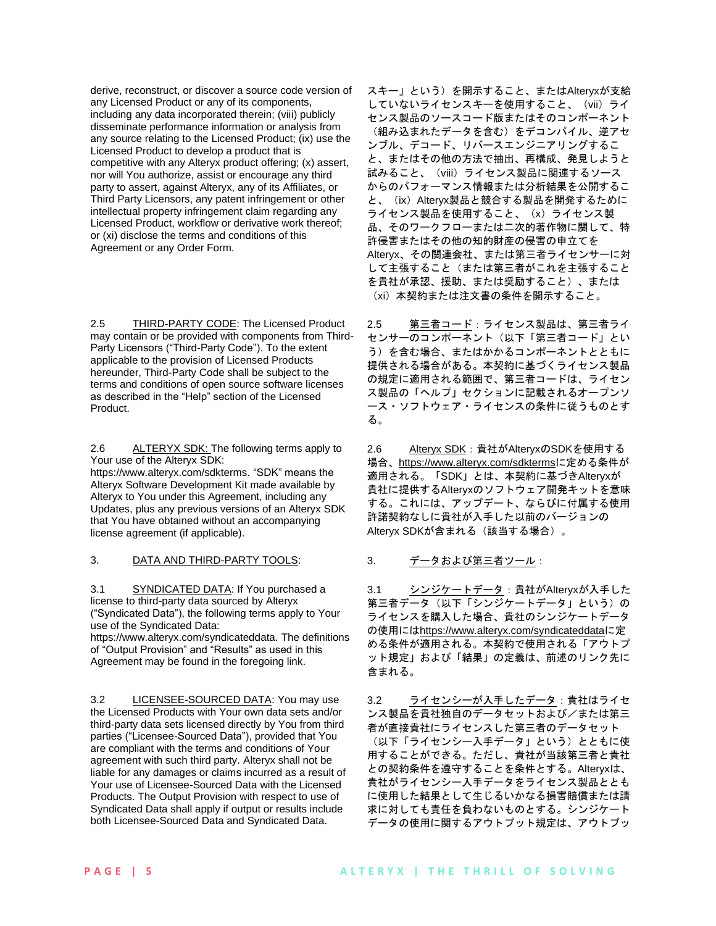derive, reconstruct, or discover a source code version of any Licensed Product or any of its components, including any data incorporated therein; (viii) publicly disseminate performance information or analysis from any source relating to the Licensed Product; (ix) use the Licensed Product to develop a product that is competitive with any Alteryx product offering; (x) assert, nor will You authorize, assist or encourage any third party to assert, against Alteryx, any of its Affiliates, or Third Party Licensors, any patent infringement or other intellectual property infringement claim regarding any Licensed Product, workflow or derivative work thereof; or (xi) disclose the terms and conditions of this Agreement or any Order Form.

2.5 THIRD-PARTY CODE: The Licensed Product may contain or be provided with components from Third-Party Licensors ("Third-Party Code"). To the extent applicable to the provision of Licensed Products hereunder, Third-Party Code shall be subject to the terms and conditions of open source software licenses as described in the "Help" section of the Licensed Product.

2.6 ALTERYX SDK: The following terms apply to Your use of the Alteryx SDK: https://www.alteryx.com/sdkterms. "SDK" means the Alteryx Software Development Kit made available by Alteryx to You under this Agreement, including any Updates, plus any previous versions of an Alteryx SDK that You have obtained without an accompanying license agreement (if applicable).

# 3. DATA AND THIRD-PARTY TOOLS: 3. データおよび第三者ツール:

3.1 SYNDICATED DATA: If You purchased a license to third-party data sourced by Alteryx ("Syndicated Data"), the following terms apply to Your use of the Syndicated Data:

https://www.alteryx.com/syndicateddata. The definitions of "Output Provision" and "Results" as used in this Agreement may be found in the foregoing link.

3.2 LICENSEE-SOURCED DATA: You may use the Licensed Products with Your own data sets and/or third-party data sets licensed directly by You from third parties ("Licensee-Sourced Data"), provided that You are compliant with the terms and conditions of Your agreement with such third party. Alteryx shall not be liable for any damages or claims incurred as a result of Your use of Licensee-Sourced Data with the Licensed Products. The Output Provision with respect to use of Syndicated Data shall apply if output or results include both Licensee-Sourced Data and Syndicated Data.

スキー」という)を開示すること、またはAlteryxが支給 していないライセンスキーを使用すること、(vii)ライ センス製品のソースコード版またはそのコンポーネント (組み込まれたデータを含む)をデコンパイル、逆アセ ンブル、デコード、リバースエンジニアリングするこ と、またはその他の方法で抽出、再構成、発見しようと 試みること、(viii)ライセンス製品に関連するソース からのパフォーマンス情報または分析結果を公開するこ と、(ix)Alteryx製品と競合する製品を開発するために ライセンス製品を使用すること、(x)ライセンス製 品、そのワークフローまたは二次的著作物に関して、特 許侵害またはその他の知的財産の侵害の申立てを Alteryx、その関連会社、または第三者ライセンサーに対 して主張すること(または第三者がこれを主張すること を貴社が承認、援助、または奨励すること)、または (xi)本契約または注文書の条件を開示すること。

2.5 第三者コード:ライセンス製品は、第三者ライ センサーのコンポーネント(以下「第三者コード」とい う)を含む場合、またはかかるコンポーネントとともに 提供される場合がある。本契約に基づくライセンス製品 の規定に適用される範囲で、第三者コードは、ライセン ス製品の「ヘルプ」セクションに記載されるオープンソ ース・ソフトウェア・ライセンスの条件に従うものとす る。

2.6 Alteryx SDK: 貴社がAlteryxのSDKを使用する 場合、https://www.alteryx.com/sdktermsに定める条件が 適用される。「SDK」とは、本契約に基づきAlteryxが 貴社に提供するAlteryxのソフトウェア開発キットを意味 する。これには、アップデート、ならびに付属する使用 許諾契約なしに貴社が入手した以前のバージョンの Alteryx SDKが含まれる(該当する場合)。

3.1 シンジケートデータ:貴社がAlteryxが入手した 第三者データ(以下「シンジケートデータ」という)の ライセンスを購入した場合、貴社のシンジケートデータ の使用にはhttps://www.alteryx.com/syndicateddataに定 める条件が適用される。本契約で使用される「アウトプ ット規定」および「結果」の定義は、前述のリンク先に 含まれる。

3.2 ライセンシーが入手したデータ:貴社はライセ ンス製品を貴社独自のデータセットおよび/または第三 者が直接貴社にライセンスした第三者のデータセット (以下「ライセンシー入手データ」という)とともに使 用することができる。ただし、貴社が当該第三者と貴社 との契約条件を遵守することを条件とする。Alteryxは、 貴社がライセンシー入手データをライセンス製品ととも に使用した結果として生じるいかなる損害賠償または請 求に対しても責任を負わないものとする。シンジケート データの使用に関するアウトプット規定は、アウトプッ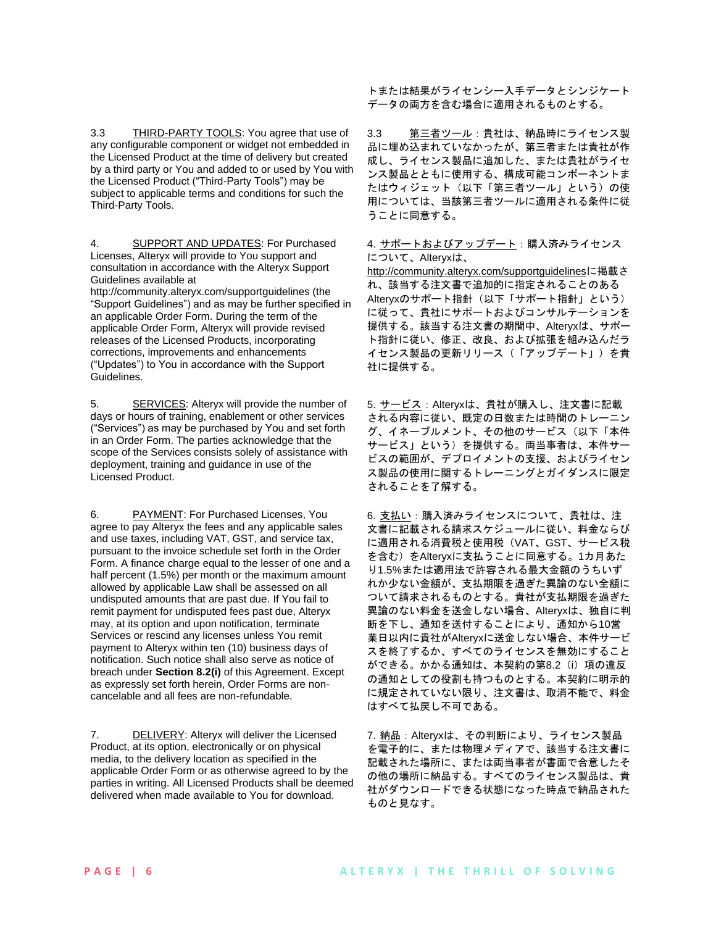3.3 THIRD-PARTY TOOLS: You agree that use of any configurable component or widget not embedded in the Licensed Product at the time of delivery but created by a third party or You and added to or used by You with the Licensed Product ("Third-Party Tools") may be subject to applicable terms and conditions for such the Third-Party Tools.

4. SUPPORT AND UPDATES: For Purchased Licenses, Alteryx will provide to You support and consultation in accordance with the Alteryx Support Guidelines available at

http://community.alteryx.com/supportguidelines (the "Support Guidelines") and as may be further specified in an applicable Order Form. During the term of the applicable Order Form, Alteryx will provide revised releases of the Licensed Products, incorporating corrections, improvements and enhancements ("Updates") to You in accordance with the Support Guidelines.

5. SERVICES: Alteryx will provide the number of days or hours of training, enablement or other services ("Services") as may be purchased by You and set forth in an Order Form. The parties acknowledge that the scope of the Services consists solely of assistance with deployment, training and guidance in use of the Licensed Product.

6. PAYMENT: For Purchased Licenses, You agree to pay Alteryx the fees and any applicable sales and use taxes, including VAT, GST, and service tax, pursuant to the invoice schedule set forth in the Order Form. A finance charge equal to the lesser of one and a half percent (1.5%) per month or the maximum amount allowed by applicable Law shall be assessed on all undisputed amounts that are past due. If You fail to remit payment for undisputed fees past due, Alteryx may, at its option and upon notification, terminate Services or rescind any licenses unless You remit payment to Alteryx within ten (10) business days of notification. Such notice shall also serve as notice of breach under **Section 8.2(i)** of this Agreement. Except as expressly set forth herein, Order Forms are noncancelable and all fees are non-refundable.

7. DELIVERY: Alteryx will deliver the Licensed Product, at its option, electronically or on physical media, to the delivery location as specified in the applicable Order Form or as otherwise agreed to by the parties in writing. All Licensed Products shall be deemed delivered when made available to You for download.

トまたは結果がライセンシー入手データとシンジケート データの両方を含む場合に適用されるものとする。

3.3 第三者ツール:貴社は、納品時にライセンス製 品に埋め込まれていなかったが、第三者または貴社が作 成し、ライセンス製品に追加した、または貴社がライセ ンス製品とともに使用する、構成可能コンポーネントま たはウィジェット(以下「第三者ツール」という)の使 用については、当該第三者ツールに適用される条件に従 うことに同意する。

4. サポートおよびアッ<u>プデート</u>:購入済みライセンス について、Alteryxは、

http://community.alteryx.com/supportguidelinesに掲載さ れ、該当する注文書で追加的に指定されることのある Alteryxのサポート指針(以下「サポート指針」という) に従って、貴社にサポートおよびコンサルテーションを 提供する。該当する注文書の期間中、Alteryxは、サポー ト指針に従い、修正、改良、および拡張を組み込んだラ イセンス製品の更新リリース(「アップデート」)を貴 社に提供する。

5. <u>サービス</u>: Alteryxは、貴社が購入し、注文書に記載 される内容に従い、既定の日数または時間のトレーニン グ、イネーブルメント、その他のサービス(以下「本件 サービス」という)を提供する。両当事者は、本件サー ビスの範囲が、デプロイメントの支援、およびライセン ス製品の使用に関するトレーニングとガイダンスに限定 されることを了解する。

6. 支払い:購入済みライセンスについて、貴社は、注 文書に記載される請求スケジュールに従い、料金ならび に適用される消費税と使用税(VAT、GST、サービス税 を含む)をAlteryxに支払うことに同意する。1カ月あた り1.5%または適用法で許容される最大金額のうちいず れか少ない金額が、支払期限を過ぎた異論のない全額に ついて請求されるものとする。貴社が支払期限を過ぎた 異論のない料金を送金しない場合、Alteryxは、独自に判 断を下し、通知を送付することにより、通知から10営 業日以内に貴社がAlteryxに送金しない場合、本件サービ スを終了するか、すべてのライセンスを無効にすること ができる。かかる通知は、本契約の第8.2(i)項の違反 の通知としての役割も持つものとする。本契約に明示的 に規定されていない限り、注文書は、取消不能で、料金 はすべて払戻し不可である。

7. 納品: Alteryxは、その判断により、ライセンス製品 を電子的に、または物理メディアで、該当する注文書に 記載された場所に、または両当事者が書面で合意したそ の他の場所に納品する。すべてのライセンス製品は、貴 社がダウンロードできる状態になった時点で納品された ものと見なす。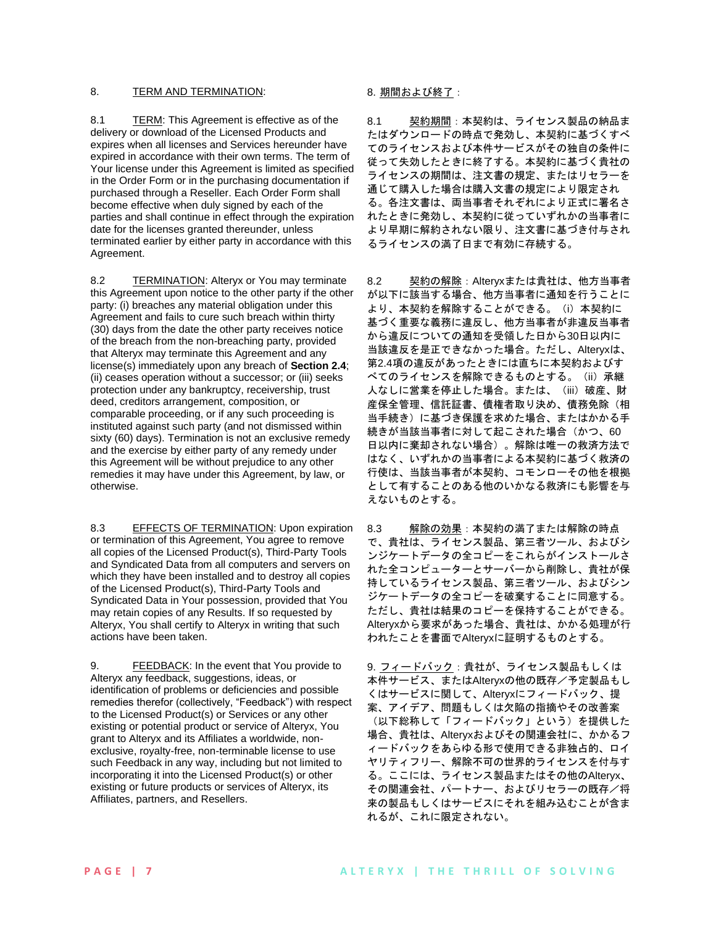### 8. TERM AND TERMINATION: 8. 期間および終了:

8.1 TERM: This Agreement is effective as of the delivery or download of the Licensed Products and expires when all licenses and Services hereunder have expired in accordance with their own terms. The term of Your license under this Agreement is limited as specified in the Order Form or in the purchasing documentation if purchased through a Reseller. Each Order Form shall become effective when duly signed by each of the parties and shall continue in effect through the expiration date for the licenses granted thereunder, unless terminated earlier by either party in accordance with this Agreement.

8.2 TERMINATION: Alteryx or You may terminate this Agreement upon notice to the other party if the other party: (i) breaches any material obligation under this Agreement and fails to cure such breach within thirty (30) days from the date the other party receives notice of the breach from the non-breaching party, provided that Alteryx may terminate this Agreement and any license(s) immediately upon any breach of **Section 2.4**; (ii) ceases operation without a successor; or (iii) seeks protection under any bankruptcy, receivership, trust deed, creditors arrangement, composition, or comparable proceeding, or if any such proceeding is instituted against such party (and not dismissed within sixty (60) days). Termination is not an exclusive remedy and the exercise by either party of any remedy under this Agreement will be without prejudice to any other remedies it may have under this Agreement, by law, or otherwise.

8.3 EFFECTS OF TERMINATION: Upon expiration or termination of this Agreement, You agree to remove all copies of the Licensed Product(s), Third-Party Tools and Syndicated Data from all computers and servers on which they have been installed and to destroy all copies of the Licensed Product(s), Third-Party Tools and Syndicated Data in Your possession, provided that You may retain copies of any Results. If so requested by Alteryx, You shall certify to Alteryx in writing that such actions have been taken.

9. FEEDBACK: In the event that You provide to Alteryx any feedback, suggestions, ideas, or identification of problems or deficiencies and possible remedies therefor (collectively, "Feedback") with respect to the Licensed Product(s) or Services or any other existing or potential product or service of Alteryx, You grant to Alteryx and its Affiliates a worldwide, nonexclusive, royalty-free, non-terminable license to use such Feedback in any way, including but not limited to incorporating it into the Licensed Product(s) or other existing or future products or services of Alteryx, its Affiliates, partners, and Resellers.

8.1 契約期間:本契約は、ライセンス製品の納品ま たはダウンロードの時点で発効し、本契約に基づくすべ てのライセンスおよび本件サービスがその独自の条件に 従って失効したときに終了する。本契約に基づく貴社の ライセンスの期間は、注文書の規定、またはリセラーを 通じて購入した場合は購入文書の規定により限定され る。各注文書は、両当事者それぞれにより正式に署名さ れたときに発効し、本契約に従っていずれかの当事者に より早期に解約されない限り、注文書に基づき付与され るライセンスの満了日まで有効に存続する。

8.2 契約の解除:Alteryxまたは貴社は、他方当事者 が以下に該当する場合、他方当事者に通知を行うことに より、本契約を解除することができる。(i)本契約に 基づく重要な義務に違反し、他方当事者が非違反当事者 から違反についての通知を受領した日から30日以内に 当該違反を是正できなかった場合。ただし、Alteryxは、 第2.4項の違反があったときには直ちに本契約およびす べてのライセンスを解除できるものとする。(ii)承継 人なしに営業を停止した場合。または、(iii)破産、財 産保全管理、信託証書、債権者取り決め、債務免除(相 当手続き)に基づき保護を求めた場合、またはかかる手 続きが当該当事者に対して起こされた場合(かつ、60 日以内に棄却されない場合)。解除は唯一の救済方法で はなく、いずれかの当事者による本契約に基づく救済の 行使は、当該当事者が本契約、コモンローその他を根拠 として有することのある他のいかなる救済にも影響を与 えないものとする。

8.3 解除の効果:本契約の満了または解除の時点 で、貴社は、ライセンス製品、第三者ツール、およびシ ンジケートデータの全コピーをこれらがインストールさ れた全コンピューターとサーバーから削除し、貴社が保 持しているライセンス製品、第三者ツール、およびシン ジケートデータの全コピーを破棄することに同意する。 ただし、貴社は結果のコピーを保持することができる。 Alteryxから要求があった場合、貴社は、かかる処理が行 われたことを書面でAlteryxに証明するものとする。

9. フィードバック: 貴社が、ライセンス製品もしくは 本件サービス、またはAlteryxの他の既存/予定製品もし くはサービスに関して、Alteryxにフィードバック、提 案、アイデア、問題もしくは欠陥の指摘やその改善案 (以下総称して「フィードバック」という)を提供した 場合、貴社は、Alteryxおよびその関連会社に、かかるフ ィードバックをあらゆる形で使用できる非独占的、ロイ ヤリティフリー、解除不可の世界的ライセンスを付与す る。ここには、ライセンス製品またはその他のAlteryx、 その関連会社、パートナー、およびリセラーの既存/将 来の製品もしくはサービスにそれを組み込むことが含ま れるが、これに限定されない。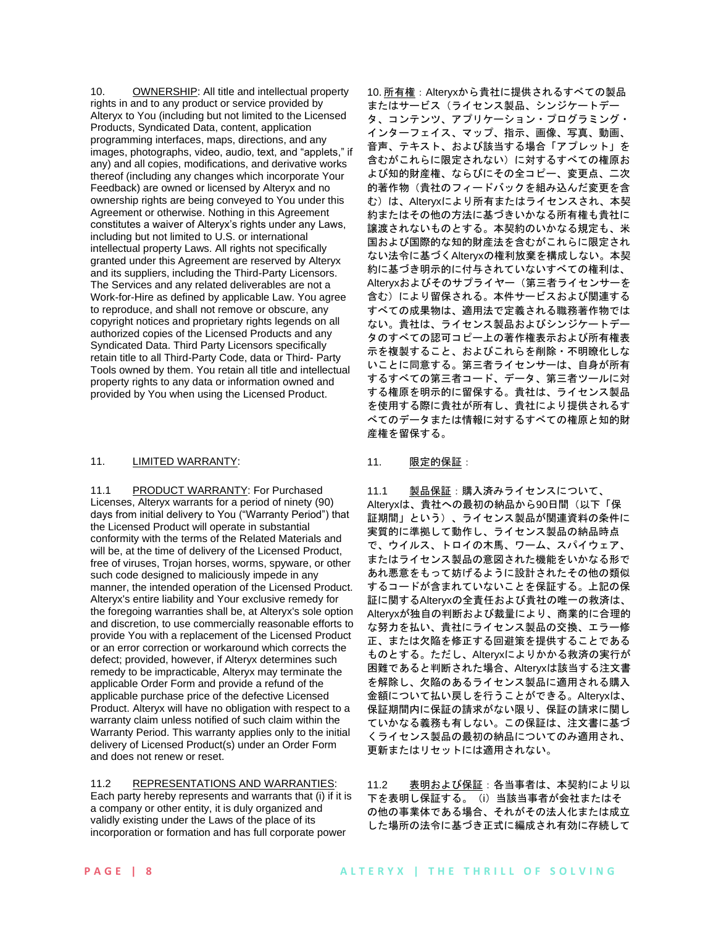10. OWNERSHIP: All title and intellectual property rights in and to any product or service provided by Alteryx to You (including but not limited to the Licensed Products, Syndicated Data, content, application programming interfaces, maps, directions, and any images, photographs, video, audio, text, and "applets," if any) and all copies, modifications, and derivative works thereof (including any changes which incorporate Your Feedback) are owned or licensed by Alteryx and no ownership rights are being conveyed to You under this Agreement or otherwise. Nothing in this Agreement constitutes a waiver of Alteryx's rights under any Laws, including but not limited to U.S. or international intellectual property Laws. All rights not specifically granted under this Agreement are reserved by Alteryx and its suppliers, including the Third-Party Licensors. The Services and any related deliverables are not a Work-for-Hire as defined by applicable Law. You agree to reproduce, and shall not remove or obscure, any copyright notices and proprietary rights legends on all authorized copies of the Licensed Products and any Syndicated Data. Third Party Licensors specifically retain title to all Third-Party Code, data or Third- Party Tools owned by them. You retain all title and intellectual property rights to any data or information owned and provided by You when using the Licensed Product.

### 11. LIMITED WARRANTY: 11. 限定的保証:

11.1 PRODUCT WARRANTY: For Purchased Licenses, Alteryx warrants for a period of ninety (90) days from initial delivery to You ("Warranty Period") that the Licensed Product will operate in substantial conformity with the terms of the Related Materials and will be, at the time of delivery of the Licensed Product, free of viruses, Trojan horses, worms, spyware, or other such code designed to maliciously impede in any manner, the intended operation of the Licensed Product. Alteryx's entire liability and Your exclusive remedy for the foregoing warranties shall be, at Alteryx's sole option and discretion, to use commercially reasonable efforts to provide You with a replacement of the Licensed Product or an error correction or workaround which corrects the defect; provided, however, if Alteryx determines such remedy to be impracticable, Alteryx may terminate the applicable Order Form and provide a refund of the applicable purchase price of the defective Licensed Product. Alteryx will have no obligation with respect to a warranty claim unless notified of such claim within the Warranty Period. This warranty applies only to the initial delivery of Licensed Product(s) under an Order Form and does not renew or reset.

11.2 REPRESENTATIONS AND WARRANTIES: Each party hereby represents and warrants that (i) if it is a company or other entity, it is duly organized and validly existing under the Laws of the place of its incorporation or formation and has full corporate power

10. 所有権: Alteryxから貴社に提供されるすべての製品 またはサービス(ライセンス製品、シンジケートデー タ、コンテンツ、アプリケーション・プログラミング・ インターフェイス、マップ、指示、画像、写真、動画、 音声、テキスト、および該当する場合「アプレット」を 含むがこれらに限定されない)に対するすべての権原お よび知的財産権、ならびにその全コピー、変更点、二次 的著作物(貴社のフィードバックを組み込んだ変更を含 む)は、Alteryxにより所有またはライセンスされ、本契 約またはその他の方法に基づきいかなる所有権も貴社に 譲渡されないものとする。本契約のいかなる規定も、米 国および国際的な知的財産法を含むがこれらに限定され ない法令に基づくAlteryxの権利放棄を構成しない。本契 約に基づき明示的に付与されていないすべての権利は、 Alteryxおよびそのサプライヤー(第三者ライセンサーを 含む)により留保される。本件サービスおよび関連する すべての成果物は、適用法で定義される職務著作物では ない。貴社は、ライセンス製品およびシンジケートデー タのすべての認可コピー上の著作権表示および所有権表 示を複製すること、およびこれらを削除・不明瞭化しな いことに同意する。第三者ライセンサーは、自身が所有 するすべての第三者コード、データ、第三者ツールに対 する権原を明示的に留保する。貴社は、ライセンス製品 を使用する際に貴社が所有し、貴社により提供されるす べてのデータまたは情報に対するすべての権原と知的財 産権を留保する。

11.1 製品保証:購入済みライセンスについて、 Alteryxは、貴社への最初の納品から90日間(以下「保 証期間」という)、ライセンス製品が関連資料の条件に 実質的に準拠して動作し、ライセンス製品の納品時点 で、ウイルス、トロイの木馬、ワーム、スパイウェア、 またはライセンス製品の意図された機能をいかなる形で あれ悪意をもって妨げるように設計されたその他の類似 するコードが含まれていないことを保証する。上記の保 証に関するAlteryxの全責任および貴社の唯一の救済は、 Alteryxが独自の判断および裁量により、商業的に合理的 な努力を払い、貴社にライセンス製品の交換、エラー修 正、または欠陥を修正する回避策を提供することである ものとする。ただし、Alteryxによりかかる救済の実行が 困難であると判断された場合、Alteryxは該当する注文書 を解除し、欠陥のあるライセンス製品に適用される購入 金額について払い戻しを行うことができる。Alteryxは、 保証期間内に保証の請求がない限り、保証の請求に関し ていかなる義務も有しない。この保証は、注文書に基づ くライセンス製品の最初の納品についてのみ適用され、 更新またはリセットには適用されない。

11.2 表明および保証:各当事者は、本契約により以 下を表明し保証する。(i)当該当事者が会社またはそ の他の事業体である場合、それがその法人化または成立 した場所の法令に基づき正式に編成され有効に存続して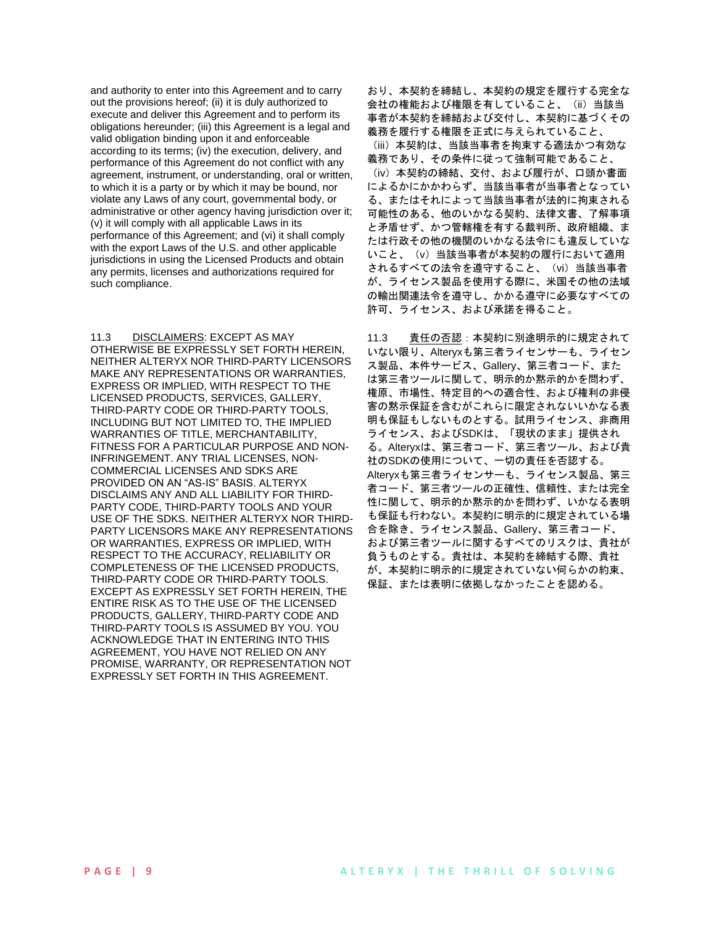and authority to enter into this Agreement and to carry out the provisions hereof; (ii) it is duly authorized to execute and deliver this Agreement and to perform its obligations hereunder; (iii) this Agreement is a legal and valid obligation binding upon it and enforceable according to its terms; (iv) the execution, delivery, and performance of this Agreement do not conflict with any agreement, instrument, or understanding, oral or written, to which it is a party or by which it may be bound, nor violate any Laws of any court, governmental body, or administrative or other agency having jurisdiction over it; (v) it will comply with all applicable Laws in its performance of this Agreement; and (vi) it shall comply with the export Laws of the U.S. and other applicable jurisdictions in using the Licensed Products and obtain any permits, licenses and authorizations required for such compliance.

11.3 DISCLAIMERS: EXCEPT AS MAY OTHERWISE BE EXPRESSLY SET FORTH HEREIN, NEITHER ALTERYX NOR THIRD-PARTY LICENSORS MAKE ANY REPRESENTATIONS OR WARRANTIES, EXPRESS OR IMPLIED, WITH RESPECT TO THE LICENSED PRODUCTS, SERVICES, GALLERY, THIRD-PARTY CODE OR THIRD-PARTY TOOLS, INCLUDING BUT NOT LIMITED TO, THE IMPLIED WARRANTIES OF TITLE, MERCHANTABILITY, FITNESS FOR A PARTICULAR PURPOSE AND NON-INFRINGEMENT. ANY TRIAL LICENSES, NON-COMMERCIAL LICENSES AND SDKS ARE PROVIDED ON AN "AS-IS" BASIS. ALTERYX DISCLAIMS ANY AND ALL LIABILITY FOR THIRD-PARTY CODE, THIRD-PARTY TOOLS AND YOUR USE OF THE SDKS. NEITHER ALTERYX NOR THIRD-PARTY LICENSORS MAKE ANY REPRESENTATIONS OR WARRANTIES, EXPRESS OR IMPLIED, WITH RESPECT TO THE ACCURACY, RELIABILITY OR COMPLETENESS OF THE LICENSED PRODUCTS, THIRD-PARTY CODE OR THIRD-PARTY TOOLS. EXCEPT AS EXPRESSLY SET FORTH HEREIN, THE ENTIRE RISK AS TO THE USE OF THE LICENSED PRODUCTS, GALLERY, THIRD-PARTY CODE AND THIRD-PARTY TOOLS IS ASSUMED BY YOU. YOU ACKNOWLEDGE THAT IN ENTERING INTO THIS AGREEMENT, YOU HAVE NOT RELIED ON ANY PROMISE, WARRANTY, OR REPRESENTATION NOT EXPRESSLY SET FORTH IN THIS AGREEMENT.

おり、本契約を締結し、本契約の規定を履行する完全な 会社の権能および権限を有していること、(ii)当該当 事者が本契約を締結および交付し、本契約に基づくその 義務を履行する権限を正式に与えられていること、

(iii)本契約は、当該当事者を拘束する適法かつ有効な 義務であり、その条件に従って強制可能であること、 (iv)本契約の締結、交付、および履行が、口頭か書面 によるかにかかわらず、当該当事者が当事者となってい る、またはそれによって当該当事者が法的に拘束される 可能性のある、他のいかなる契約、法律文書、了解事項 と矛盾せず、かつ管轄権を有する裁判所、政府組織、ま たは行政その他の機関のいかなる法令にも違反していな いこと、(v)当該当事者が本契約の履行において適用 されるすべての法令を遵守すること、(vi)当該当事者 が、ライセンス製品を使用する際に、米国その他の法域 の輸出関連法令を遵守し、かかる遵守に必要なすべての 許可、ライセンス、および承諾を得ること。

11.3 責任の否認:本契約に別途明示的に規定されて いない限り、Alteryxも第三者ライセンサーも、ライセン ス製品、本件サービス、Gallery、第三者コード、また は第三者ツールに関して、明示的か黙示的かを問わず、 権原、市場性、特定目的への適合性、および権利の非侵 害の黙示保証を含むがこれらに限定されないいかなる表 明も保証もしないものとする。試用ライセンス、非商用 ライセンス、およびSDKは、「現状のまま」提供され る。Alteryxは、第三者コード、第三者ツール、および貴 社のSDKの使用について、一切の責任を否認する。 Alteryxも第三者ライセンサーも、ライセンス製品、第三 者コード、第三者ツールの正確性、信頼性、または完全 性に関して、明示的か黙示的かを問わず、いかなる表明 も保証も行わない。本契約に明示的に規定されている場 合を除き、ライセンス製品、Gallery、第三者コード、 および第三者ツールに関するすべてのリスクは、貴社が 負うものとする。貴社は、本契約を締結する際、貴社 が、本契約に明示的に規定されていない何らかの約束、 保証、または表明に依拠しなかったことを認める。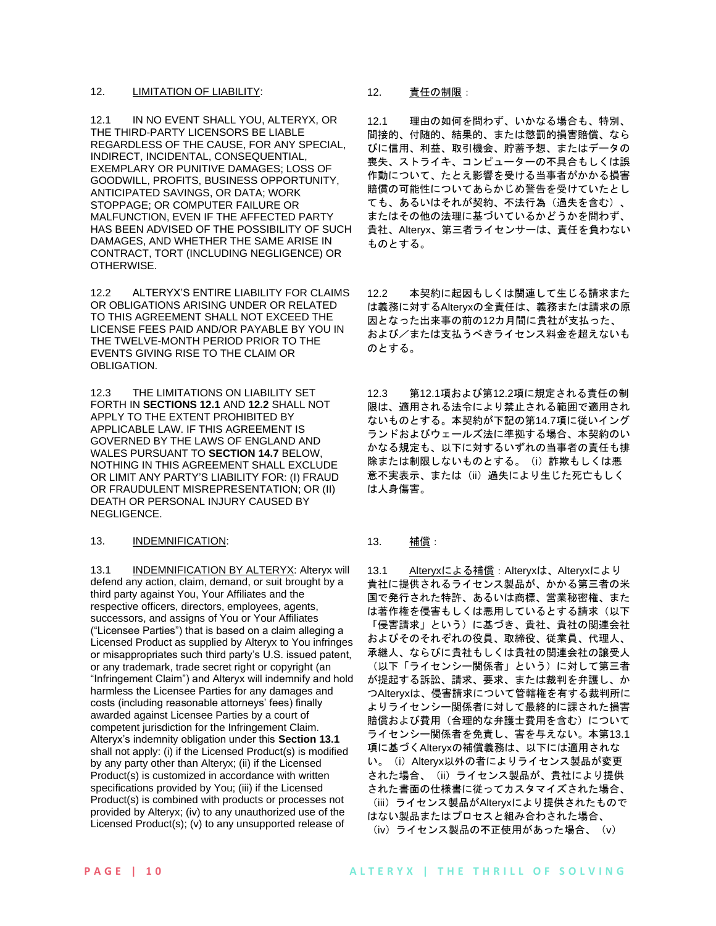# 12. LIMITATION OF LIABILITY: 12. 責任の制限:

12.1 IN NO EVENT SHALL YOU, ALTERYX, OR THE THIRD-PARTY LICENSORS BE LIABLE REGARDLESS OF THE CAUSE, FOR ANY SPECIAL, INDIRECT, INCIDENTAL, CONSEQUENTIAL, EXEMPLARY OR PUNITIVE DAMAGES; LOSS OF GOODWILL, PROFITS, BUSINESS OPPORTUNITY, ANTICIPATED SAVINGS, OR DATA; WORK STOPPAGE; OR COMPUTER FAILURE OR MALFUNCTION, EVEN IF THE AFFECTED PARTY HAS BEEN ADVISED OF THE POSSIBILITY OF SUCH DAMAGES, AND WHETHER THE SAME ARISE IN CONTRACT, TORT (INCLUDING NEGLIGENCE) OR OTHERWISE.

12.2 ALTERYX'S ENTIRE LIABILITY FOR CLAIMS OR OBLIGATIONS ARISING UNDER OR RELATED TO THIS AGREEMENT SHALL NOT EXCEED THE LICENSE FEES PAID AND/OR PAYABLE BY YOU IN THE TWELVE-MONTH PERIOD PRIOR TO THE EVENTS GIVING RISE TO THE CLAIM OR OBLIGATION.

12.3 THE LIMITATIONS ON LIABILITY SET FORTH IN **SECTIONS 12.1** AND **12.2** SHALL NOT APPLY TO THE EXTENT PROHIBITED BY APPLICABLE LAW. IF THIS AGREEMENT IS GOVERNED BY THE LAWS OF ENGLAND AND WALES PURSUANT TO **SECTION 14.7** BELOW, NOTHING IN THIS AGREEMENT SHALL EXCLUDE OR LIMIT ANY PARTY'S LIABILITY FOR: (I) FRAUD OR FRAUDULENT MISREPRESENTATION; OR (II) DEATH OR PERSONAL INJURY CAUSED BY NEGLIGENCE.

## 13. INDEMNIFICATION: 13. 補償:

13.1 INDEMNIFICATION BY ALTERYX: Alteryx will defend any action, claim, demand, or suit brought by a third party against You, Your Affiliates and the respective officers, directors, employees, agents, successors, and assigns of You or Your Affiliates ("Licensee Parties") that is based on a claim alleging a Licensed Product as supplied by Alteryx to You infringes or misappropriates such third party's U.S. issued patent, or any trademark, trade secret right or copyright (an "Infringement Claim") and Alteryx will indemnify and hold harmless the Licensee Parties for any damages and costs (including reasonable attorneys' fees) finally awarded against Licensee Parties by a court of competent jurisdiction for the Infringement Claim. Alteryx's indemnity obligation under this **Section 13.1** shall not apply: (i) if the Licensed Product(s) is modified by any party other than Alteryx; (ii) if the Licensed Product(s) is customized in accordance with written specifications provided by You; (iii) if the Licensed Product(s) is combined with products or processes not provided by Alteryx; (iv) to any unauthorized use of the Licensed Product(s); (v) to any unsupported release of

12.1 理由の如何を問わず、いかなる場合も、特別、 間接的、付随的、結果的、または懲罰的損害賠償、なら びに信用、利益、取引機会、貯蓄予想、またはデータの 喪失、ストライキ、コンピューターの不具合もしくは誤 作動について、たとえ影響を受ける当事者がかかる損害 賠償の可能性についてあらかじめ警告を受けていたとし ても、あるいはそれが契約、不法行為(過失を含む)、 またはその他の法理に基づいているかどうかを問わず、 貴社、Alteryx、第三者ライセンサーは、責任を負わない ものとする。

12.2 本契約に起因もしくは関連して生じる請求また は義務に対するAlteryxの全責任は、義務または請求の原 因となった出来事の前の12カ月間に貴社が支払った、 および/または支払うべきライセンス料金を超えないも のとする。

12.3 第12.1項および第12.2項に規定される責任の制 限は、適用される法令により禁止される範囲で適用され ないものとする。本契約が下記の第14.7項に従いイング ランドおよびウェールズ法に準拠する場合、本契約のい かなる規定も、以下に対するいずれの当事者の責任も排 除または制限しないものとする。(i) 詐欺もしくは悪 意不実表示、または(ii) 過失により生じた死亡もしく は人身傷害。

13.1 Alteryxによる補償:Alteryxは、Alteryxにより 貴社に提供されるライセンス製品が、かかる第三者の米 国で発行された特許、あるいは商標、営業秘密権、また は著作権を侵害もしくは悪用しているとする請求(以下 「侵害請求」という)に基づき、貴社、貴社の関連会社 およびそのそれぞれの役員、取締役、従業員、代理人、 承継人、ならびに貴社もしくは貴社の関連会社の譲受人 (以下「ライセンシー関係者」という)に対して第三者 が提起する訴訟、請求、要求、または裁判を弁護し、か つAlteryxは、侵害請求について管轄権を有する裁判所に よりライセンシー関係者に対して最終的に課された損害 賠償および費用(合理的な弁護士費用を含む)について ライセンシー関係者を免責し、害を与えない。本第13.1 項に基づくAlteryxの補償義務は、以下には適用されな い。(i)Alteryx以外の者によりライセンス製品が変更 された場合、(ii)ライセンス製品が、貴社により提供 された書面の仕様書に従ってカスタマイズされた場合、 (iii)ライセンス製品がAlteryxにより提供されたもので はない製品またはプロセスと組み合わされた場合、 (iv)ライセンス製品の不正使用があった場合、(v)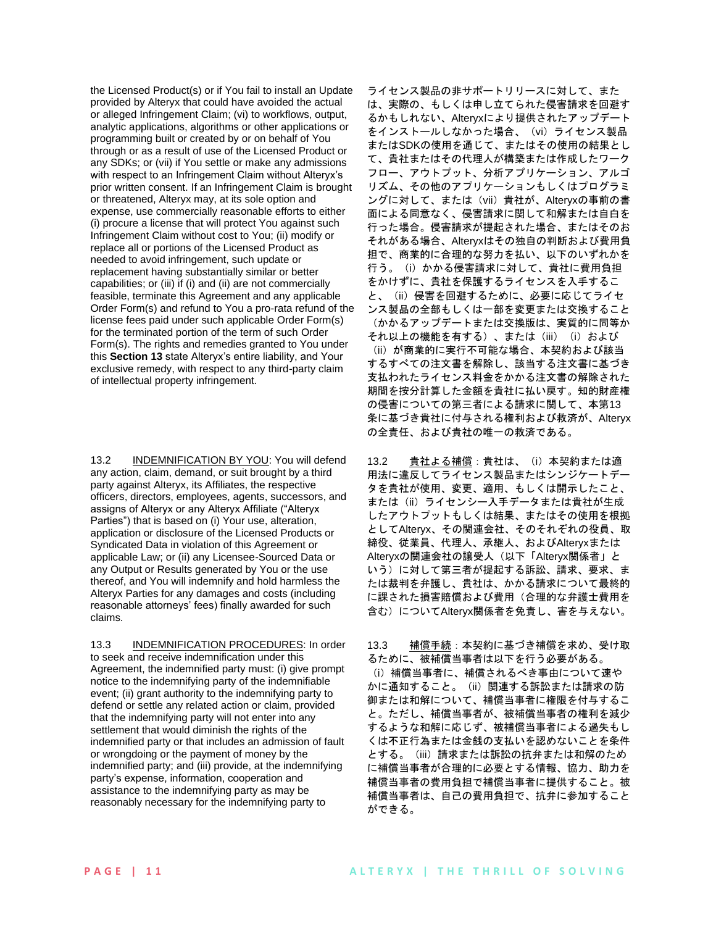the Licensed Product(s) or if You fail to install an Update provided by Alteryx that could have avoided the actual or alleged Infringement Claim; (vi) to workflows, output, analytic applications, algorithms or other applications or programming built or created by or on behalf of You through or as a result of use of the Licensed Product or any SDKs; or (vii) if You settle or make any admissions with respect to an Infringement Claim without Alteryx's prior written consent. If an Infringement Claim is brought or threatened, Alteryx may, at its sole option and expense, use commercially reasonable efforts to either (i) procure a license that will protect You against such Infringement Claim without cost to You; (ii) modify or replace all or portions of the Licensed Product as needed to avoid infringement, such update or replacement having substantially similar or better capabilities; or (iii) if (i) and (ii) are not commercially feasible, terminate this Agreement and any applicable Order Form(s) and refund to You a pro-rata refund of the license fees paid under such applicable Order Form(s) for the terminated portion of the term of such Order Form(s). The rights and remedies granted to You under this **Section 13** state Alteryx's entire liability, and Your exclusive remedy, with respect to any third-party claim of intellectual property infringement.

13.2 INDEMNIFICATION BY YOU: You will defend any action, claim, demand, or suit brought by a third party against Alteryx, its Affiliates, the respective officers, directors, employees, agents, successors, and assigns of Alteryx or any Alteryx Affiliate ("Alteryx Parties") that is based on (i) Your use, alteration, application or disclosure of the Licensed Products or Syndicated Data in violation of this Agreement or applicable Law; or (ii) any Licensee-Sourced Data or any Output or Results generated by You or the use thereof, and You will indemnify and hold harmless the Alteryx Parties for any damages and costs (including reasonable attorneys' fees) finally awarded for such claims.

13.3 INDEMNIFICATION PROCEDURES: In order to seek and receive indemnification under this Agreement, the indemnified party must: (i) give prompt notice to the indemnifying party of the indemnifiable event; (ii) grant authority to the indemnifying party to defend or settle any related action or claim, provided that the indemnifying party will not enter into any settlement that would diminish the rights of the indemnified party or that includes an admission of fault or wrongdoing or the payment of money by the indemnified party; and (iii) provide, at the indemnifying party's expense, information, cooperation and assistance to the indemnifying party as may be reasonably necessary for the indemnifying party to

ライセンス製品の非サポートリリースに対して、また は、実際の、もしくは申し立てられた侵害請求を回避す るかもしれない、Alteryxにより提供されたアップデート をインストールしなかった場合、(vi)ライセンス製品 またはSDKの使用を通じて、またはその使用の結果とし て、貴社またはその代理人が構築または作成したワーク フロー、アウトプット、分析アプリケーション、アルゴ リズム、その他のアプリケーションもしくはプログラミ ングに対して、または(vii)貴社が、Alteryxの事前の書 面による同意なく、侵害請求に関して和解または自白を 行った場合。侵害請求が提起された場合、またはそのお それがある場合、Alteryxはその独自の判断および費用負 担で、商業的に合理的な努力を払い、以下のいずれかを 行う。(i)かかる侵害請求に対して、貴社に費用負担 をかけずに、貴社を保護するライセンスを入手するこ と、(ii)侵害を回避するために、必要に応じてライセ ンス製品の全部もしくは一部を変更または交換すること (かかるアップデートまたは交換版は、実質的に同等か それ以上の機能を有する)、または (iii) (i) および (ii)が商業的に実行不可能な場合、本契約および該当 するすべての注文書を解除し、該当する注文書に基づき 支払われたライセンス料金をかかる注文書の解除された 期間を按分計算した金額を貴社に払い戻す。知的財産権 の侵害についての第三者による請求に関して、本第13 条に基づき貴社に付与される権利および救済が、Alteryx の全責任、および貴社の唯一の救済である。

13.2 貴社よる補償:貴社は、(i)本契約または適 用法に違反してライセンス製品またはシンジケートデー タを貴社が使用、変更、適用、もしくは開示したこと、 または(ii)ライセンシー入手データまたは貴社が生成 したアウトプットもしくは結果、またはその使用を根拠 としてAlteryx、その関連会社、そのそれぞれの役員、取 締役、従業員、代理人、承継人、およびAlteryxまたは Alteryxの関連会社の譲受人(以下「Alteryx関係者」と いう)に対して第三者が提起する訴訟、請求、要求、ま たは裁判を弁護し、貴社は、かかる請求について最終的 に課された損害賠償および費用(合理的な弁護士費用を 含む)についてAlteryx関係者を免責し、害を与えない。

13.3 補償手続:本契約に基づき補償を求め、受け取 るために、被補償当事者は以下を行う必要がある。 (i)補償当事者に、補償されるべき事由について速や かに通知すること。(ii)関連する訴訟または請求の防 御または和解について、補償当事者に権限を付与するこ と。ただし、補償当事者が、被補償当事者の権利を減少 するような和解に応じず、被補償当事者による過失もし くは不正行為または金銭の支払いを認めないことを条件 とする。(iii)請求または訴訟の抗弁または和解のため に補償当事者が合理的に必要とする情報、協力、助力を 補償当事者の費用負担で補償当事者に提供すること。被 補償当事者は、自己の費用負担で、抗弁に参加すること ができる。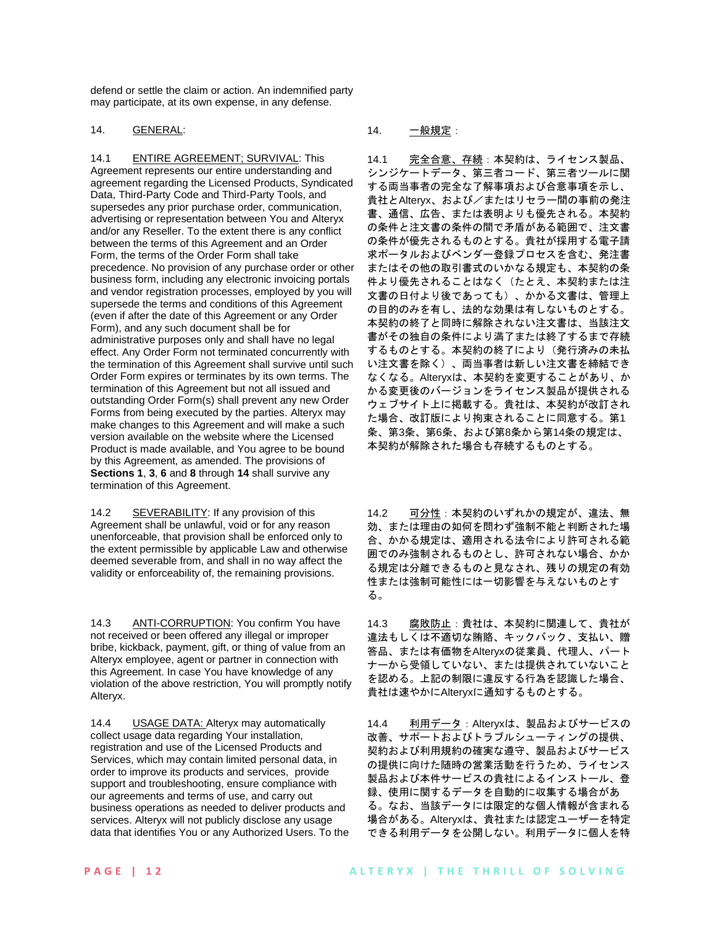defend or settle the claim or action. An indemnified party may participate, at its own expense, in any defense.

### 14. GENERAL: 2000 - 2000 - 2000 - 2000 - 2000 - 2000 - 2000 - 2000 - 2000 - 2000 - 2000 - 2000 - 2000 - 2000 - 2000 - 2000 - 2000 - 2000 - 2000 - 2000 - 2000 - 2000 - 2000 - 2000 - 2000 - 2000 - 2000 - 2000 - 2000 - 2000

14.1 ENTIRE AGREEMENT; SURVIVAL: This Agreement represents our entire understanding and agreement regarding the Licensed Products, Syndicated Data, Third-Party Code and Third-Party Tools, and supersedes any prior purchase order, communication, advertising or representation between You and Alteryx and/or any Reseller. To the extent there is any conflict between the terms of this Agreement and an Order Form, the terms of the Order Form shall take precedence. No provision of any purchase order or other business form, including any electronic invoicing portals and vendor registration processes, employed by you will supersede the terms and conditions of this Agreement (even if after the date of this Agreement or any Order Form), and any such document shall be for administrative purposes only and shall have no legal effect. Any Order Form not terminated concurrently with the termination of this Agreement shall survive until such Order Form expires or terminates by its own terms. The termination of this Agreement but not all issued and outstanding Order Form(s) shall prevent any new Order Forms from being executed by the parties. Alteryx may make changes to this Agreement and will make a such version available on the website where the Licensed Product is made available, and You agree to be bound by this Agreement, as amended. The provisions of **Sections 1**, **3**, **6** and **8** through **14** shall survive any termination of this Agreement.

14.2 SEVERABILITY: If any provision of this Agreement shall be unlawful, void or for any reason unenforceable, that provision shall be enforced only to the extent permissible by applicable Law and otherwise deemed severable from, and shall in no way affect the validity or enforceability of, the remaining provisions.

14.3 ANTI-CORRUPTION: You confirm You have not received or been offered any illegal or improper bribe, kickback, payment, gift, or thing of value from an Alteryx employee, agent or partner in connection with this Agreement. In case You have knowledge of any violation of the above restriction, You will promptly notify Alteryx.

14.4 USAGE DATA: Alteryx may automatically collect usage data regarding Your installation, registration and use of the Licensed Products and Services, which may contain limited personal data, in order to improve its products and services, provide support and troubleshooting, ensure compliance with our agreements and terms of use, and carry out business operations as needed to deliver products and services. Alteryx will not publicly disclose any usage data that identifies You or any Authorized Users. To the

14.1 完全合意、存続:本契約は、ライセンス製品、 シンジケートデータ、第三者コード、第三者ツールに関 する両当事者の完全な了解事項および合意事項を示し、 貴社とAlteryx、および/またはリセラー間の事前の発注 書、通信、広告、または表明よりも優先される。本契約 の条件と注文書の条件の間で矛盾がある範囲で、注文書 の条件が優先されるものとする。貴社が採用する電子請 求ポータルおよびベンダー登録プロセスを含む、発注書 またはその他の取引書式のいかなる規定も、本契約の条 件より優先されることはなく(たとえ、本契約または注 文書の日付より後であっても)、かかる文書は、管理上 の目的のみを有し、法的な効果は有しないものとする。 本契約の終了と同時に解除されない注文書は、当該注文 書がその独自の条件により満了または終了するまで存続 するものとする。本契約の終了により(発行済みの未払 い注文書を除く)、両当事者は新しい注文書を締結でき なくなる。Alteryxは、本契約を変更することがあり、か かる変更後のバージョンをライセンス製品が提供される ウェブサイト上に掲載する。貴社は、本契約が改訂され た場合、改訂版により拘束されることに同意する。第1 条、第3条、第6条、および第8条から第14条の規定は、 本契約が解除された場合も存続するものとする。

14.2 可分性:本契約のいずれかの規定が、違法、無 効、または理由の如何を問わず強制不能と判断された場 合、かかる規定は、適用される法令により許可される範 囲でのみ強制されるものとし、許可されない場合、かか る規定は分離できるものと見なされ、残りの規定の有効 性または強制可能性には一切影響を与えないものとす る。

14.3 腐敗防止: 貴社は、本契約に関連して、貴社が 違法もしくは不適切な賄賂、キックバック、支払い、贈 答品、または有価物をAlteryxの従業員、代理人、パート ナーから受領していない、または提供されていないこと を認める。上記の制限に違反する行為を認識した場合、 貴社は速やかにAlteryxに通知するものとする。

14.4 利用データ:Alteryxは、製品およびサービスの 改善、サポートおよびトラブルシューティングの提供、 契約および利用規約の確実な遵守、製品およびサービス の提供に向けた随時の営業活動を行うため、ライセンス 製品および本件サービスの貴社によるインストール、登 録、使用に関するデータを自動的に収集する場合があ る。なお、当該データには限定的な個人情報が含まれる 場合がある。Alteryxは、貴社または認定ユーザーを特定 できる利用データを公開しない。利用データに個人を特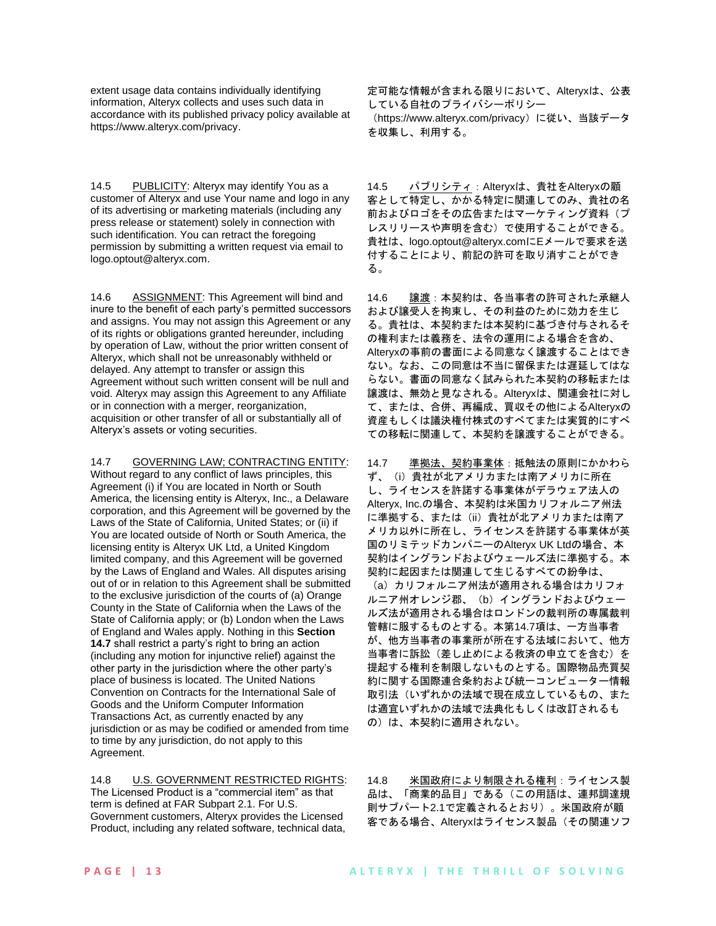extent usage data contains individually identifying information, Alteryx collects and uses such data in accordance with its published privacy policy available at [https://www.alteryx.com/privacy.](https://www.alteryx.com/privacy)

14.5 PUBLICITY: Alteryx may identify You as a customer of Alteryx and use Your name and logo in any of its advertising or marketing materials (including any press release or statement) solely in connection with such identification. You can retract the foregoing permission by submitting a written request via email to logo.optout@alteryx.com.

14.6 ASSIGNMENT: This Agreement will bind and inure to the benefit of each party's permitted successors and assigns. You may not assign this Agreement or any of its rights or obligations granted hereunder, including by operation of Law, without the prior written consent of Alteryx, which shall not be unreasonably withheld or delayed. Any attempt to transfer or assign this Agreement without such written consent will be null and void. Alteryx may assign this Agreement to any Affiliate or in connection with a merger, reorganization, acquisition or other transfer of all or substantially all of Alteryx's assets or voting securities.

14.7 GOVERNING LAW; CONTRACTING ENTITY: Without regard to any conflict of laws principles, this Agreement (i) if You are located in North or South America, the licensing entity is Alteryx, Inc., a Delaware corporation, and this Agreement will be governed by the Laws of the State of California, United States; or (ii) if You are located outside of North or South America, the licensing entity is Alteryx UK Ltd, a United Kingdom limited company, and this Agreement will be governed by the Laws of England and Wales. All disputes arising out of or in relation to this Agreement shall be submitted to the exclusive jurisdiction of the courts of (a) Orange County in the State of California when the Laws of the State of California apply; or (b) London when the Laws of England and Wales apply. Nothing in this **Section 14.7** shall restrict a party's right to bring an action (including any motion for injunctive relief) against the other party in the jurisdiction where the other party's place of business is located. The United Nations Convention on Contracts for the International Sale of Goods and the Uniform Computer Information Transactions Act, as currently enacted by any jurisdiction or as may be codified or amended from time to time by any jurisdiction, do not apply to this Agreement.

14.8 U.S. GOVERNMENT RESTRICTED RIGHTS: The Licensed Product is a "commercial item" as that term is defined at FAR Subpart 2.1. For U.S. Government customers, Alteryx provides the Licensed Product, including any related software, technical data, 定可能な情報が含まれる限りにおいて、Alteryxは、公表 している自社のプライバシーポリシー

(<https://www.alteryx.com/privacy>)に従い、当該データ を収集し、利用する。

14.5 パブリシティ:Alteryxは、貴社をAlteryxの顧 客として特定し、かかる特定に関連してのみ、貴社の名 前およびロゴをその広告またはマーケティング資料(プ レスリリースや声明を含む)で使用することができる。 貴社は、logo.optout@alteryx.comにEメールで要求を送 付することにより、前記の許可を取り消すことができ る。

14.6 譲渡:本契約は、各当事者の許可された承継人 および譲受人を拘束し、その利益のために効力を生じ る。貴社は、本契約または本契約に基づき付与されるそ の権利または義務を、法令の運用による場合を含め、 Alteryxの事前の書面による同意なく譲渡することはでき ない。なお、この同意は不当に留保または遅延してはな らない。書面の同意なく試みられた本契約の移転または 譲渡は、無効と見なされる。Alteryxは、関連会社に対し て、または、合併、再編成、買収その他によるAlteryxの 資産もしくは議決権付株式のすべてまたは実質的にすべ ての移転に関連して、本契約を譲渡することができる。

14.7 準拠法、契約事業体:抵触法の原則にかかわら ず、(i)貴社が北アメリカまたは南アメリカに所在 し、ライセンスを許諾する事業体がデラウェア法人の Alteryx, Inc.の場合、本契約は米国カリフォルニア州法 に準拠する、または(ii) 貴社が北アメリカまたは南ア メリカ以外に所在し、ライセンスを許諾する事業体が英 国のリミテッドカンパニーのAlteryx UK Ltdの場合、本 契約はイングランドおよびウェールズ法に準拠する。本 契約に起因または関連して生じるすべての紛争は、

(a)カリフォルニア州法が適用される場合はカリフォ ルニア州オレンジ郡、(b)イングランドおよびウェー ルズ法が適用される場合はロンドンの裁判所の専属裁判 管轄に服するものとする。本第14.7項は、一方当事者 が、他方当事者の事業所が所在する法域において、他方 当事者に訴訟(差し止めによる救済の申立てを含む)を 提起する権利を制限しないものとする。国際物品売買契 約に関する国際連合条約および統一コンピューター情報 取引法(いずれかの法域で現在成立しているもの、また は適宜いずれかの法域で法典化もしくは改訂されるも の)は、本契約に適用されない。

14.8 米国政府により制限される権利:ライセンス製 品は、「商業的品目」である(この用語は、連邦調達規 則サブパート2.1で定義されるとおり)。米国政府が顧 客である場合、Alteryxはライセンス製品(その関連ソフ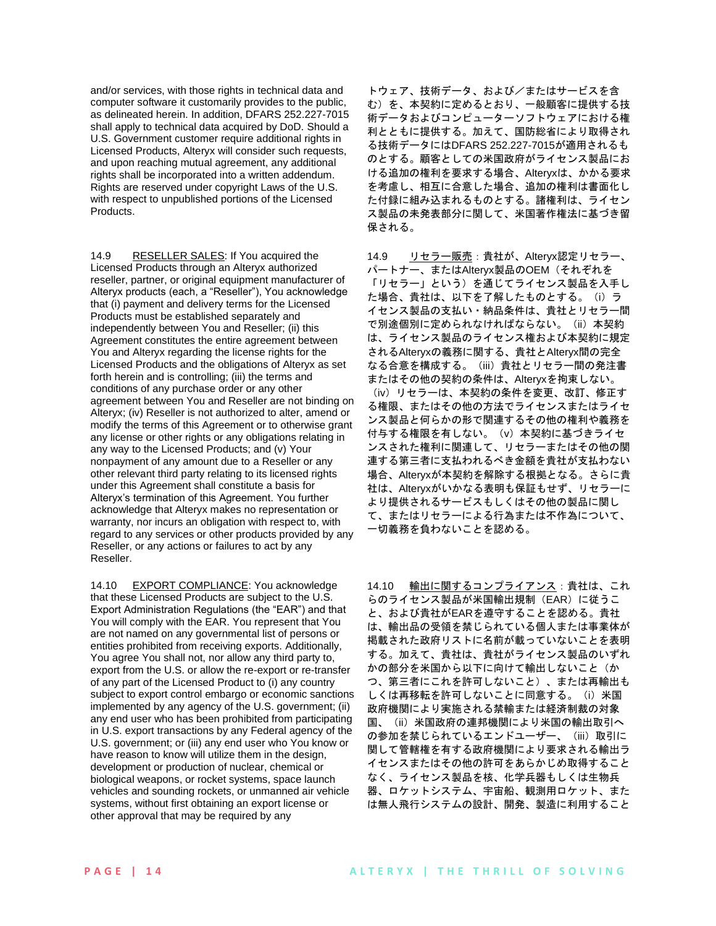and/or services, with those rights in technical data and computer software it customarily provides to the public, as delineated herein. In addition, DFARS 252.227-7015 shall apply to technical data acquired by DoD. Should a U.S. Government customer require additional rights in Licensed Products, Alteryx will consider such requests, and upon reaching mutual agreement, any additional rights shall be incorporated into a written addendum. Rights are reserved under copyright Laws of the U.S. with respect to unpublished portions of the Licensed Products.

14.9 RESELLER SALES: If You acquired the Licensed Products through an Alteryx authorized reseller, partner, or original equipment manufacturer of Alteryx products (each, a "Reseller"), You acknowledge that (i) payment and delivery terms for the Licensed Products must be established separately and independently between You and Reseller; (ii) this Agreement constitutes the entire agreement between You and Alteryx regarding the license rights for the Licensed Products and the obligations of Alteryx as set forth herein and is controlling; (iii) the terms and conditions of any purchase order or any other agreement between You and Reseller are not binding on Alteryx; (iv) Reseller is not authorized to alter, amend or modify the terms of this Agreement or to otherwise grant any license or other rights or any obligations relating in any way to the Licensed Products; and (v) Your nonpayment of any amount due to a Reseller or any other relevant third party relating to its licensed rights under this Agreement shall constitute a basis for Alteryx's termination of this Agreement. You further acknowledge that Alteryx makes no representation or warranty, nor incurs an obligation with respect to, with regard to any services or other products provided by any Reseller, or any actions or failures to act by any Reseller.

14.10 EXPORT COMPLIANCE: You acknowledge that these Licensed Products are subject to the U.S. Export Administration Regulations (the "EAR") and that You will comply with the EAR. You represent that You are not named on any governmental list of persons or entities prohibited from receiving exports. Additionally, You agree You shall not, nor allow any third party to, export from the U.S. or allow the re-export or re-transfer of any part of the Licensed Product to (i) any country subject to export control embargo or economic sanctions implemented by any agency of the U.S. government; (ii) any end user who has been prohibited from participating in U.S. export transactions by any Federal agency of the U.S. government; or (iii) any end user who You know or have reason to know will utilize them in the design, development or production of nuclear, chemical or biological weapons, or rocket systems, space launch vehicles and sounding rockets, or unmanned air vehicle systems, without first obtaining an export license or other approval that may be required by any

トウェア、技術データ、および/またはサービスを含 む)を、本契約に定めるとおり、一般顧客に提供する技 術データおよびコンピューターソフトウェアにおける権 利とともに提供する。加えて、国防総省により取得され る技術データにはDFARS 252.227-7015が適用されるも のとする。顧客としての米国政府がライセンス製品にお ける追加の権利を要求する場合、Alteryxは、かかる要求 を考慮し、相互に合意した場合、追加の権利は書面化し た付録に組み込まれるものとする。諸権利は、ライセン ス製品の未発表部分に関して、米国著作権法に基づき留 保される。

14.9 リセラー販売:貴社が、Alteryx認定リセラー、 パートナー、またはAlteryx製品のOEM(それぞれを 「リセラー」という)を通じてライセンス製品を入手し た場合、貴社は、以下を了解したものとする。(i)ラ イセンス製品の支払い・納品条件は、貴社とリセラー間 で別途個別に定められなければならない。(ii)本契約 は、ライセンス製品のライセンス権および本契約に規定 されるAlteryxの義務に関する、貴社とAlteryx間の完全 なる合意を構成する。(iii)貴社とリセラー間の発注書 またはその他の契約の条件は、Alteryxを拘束しない。 (iv)リセラーは、本契約の条件を変更、改訂、修正す る権限、またはその他の方法でライセンスまたはライセ ンス製品と何らかの形で関連するその他の権利や義務を 付与する権限を有しない。(v)本契約に基づきライセ ンスされた権利に関連して、リセラーまたはその他の関 連する第三者に支払われるべき金額を貴社が支払わない 場合、Alteryxが本契約を解除する根拠となる。さらに貴 社は、Alteryxがいかなる表明も保証もせず、リセラーに より提供されるサービスもしくはその他の製品に関し て、またはリセラーによる行為または不作為について、 一切義務を負わないことを認める。

14.10 輸出に関するコンプライアンス:貴社は、これ らのライセンス製品が米国輸出規制(EAR)に従うこ と、および貴社がEARを遵守することを認める。貴社 は、輸出品の受領を禁じられている個人または事業体が 掲載された政府リストに名前が載っていないことを表明 する。加えて、貴社は、貴社がライセンス製品のいずれ かの部分を米国から以下に向けて輸出しないこと(か つ、第三者にこれを許可しないこと)、または再輸出も しくは再移転を許可しないことに同意する。(i)米国 政府機関により実施される禁輸または経済制裁の対象 国、(ii)米国政府の連邦機関により米国の輸出取引へ の参加を禁じられているエンドユーザー、(iii)取引に 関して管轄権を有する政府機関により要求される輸出ラ イセンスまたはその他の許可をあらかじめ取得すること なく、ライセンス製品を核、化学兵器もしくは生物兵 器、ロケットシステム、宇宙船、観測用ロケット、また は無人飛行システムの設計、開発、製造に利用すること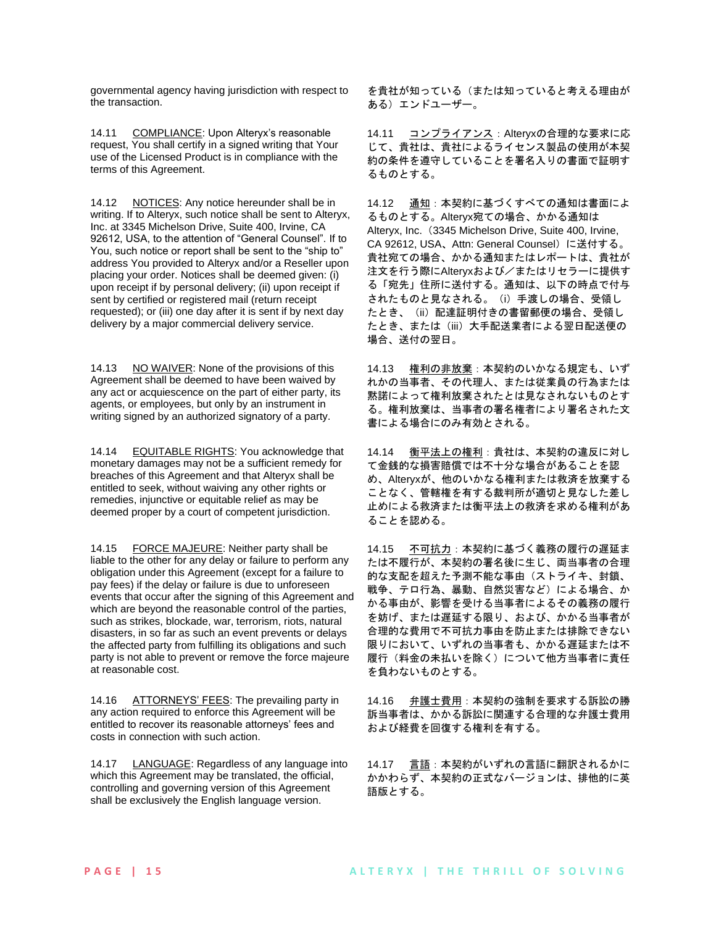governmental agency having jurisdiction with respect to the transaction.

14.11 COMPLIANCE: Upon Alteryx's reasonable request, You shall certify in a signed writing that Your use of the Licensed Product is in compliance with the terms of this Agreement.

14.12 NOTICES: Any notice hereunder shall be in writing. If to Alteryx, such notice shall be sent to Alteryx, Inc. at 3345 Michelson Drive, Suite 400, Irvine, CA 92612, USA, to the attention of "General Counsel". If to You, such notice or report shall be sent to the "ship to" address You provided to Alteryx and/or a Reseller upon placing your order. Notices shall be deemed given: (i) upon receipt if by personal delivery; (ii) upon receipt if sent by certified or registered mail (return receipt requested); or (iii) one day after it is sent if by next day delivery by a major commercial delivery service.

14.13 NO WAIVER: None of the provisions of this Agreement shall be deemed to have been waived by any act or acquiescence on the part of either party, its agents, or employees, but only by an instrument in writing signed by an authorized signatory of a party.

14.14 EQUITABLE RIGHTS: You acknowledge that monetary damages may not be a sufficient remedy for breaches of this Agreement and that Alteryx shall be entitled to seek, without waiving any other rights or remedies, injunctive or equitable relief as may be deemed proper by a court of competent jurisdiction.

14.15 FORCE MAJEURE: Neither party shall be liable to the other for any delay or failure to perform any obligation under this Agreement (except for a failure to pay fees) if the delay or failure is due to unforeseen events that occur after the signing of this Agreement and which are beyond the reasonable control of the parties, such as strikes, blockade, war, terrorism, riots, natural disasters, in so far as such an event prevents or delays the affected party from fulfilling its obligations and such party is not able to prevent or remove the force majeure at reasonable cost.

14.16 ATTORNEYS' FEES: The prevailing party in any action required to enforce this Agreement will be entitled to recover its reasonable attorneys' fees and costs in connection with such action.

14.17 LANGUAGE: Regardless of any language into which this Agreement may be translated, the official, controlling and governing version of this Agreement shall be exclusively the English language version.

を貴社が知っている(または知っていると考える理由が ある)エンドユーザー。

14.11 コンプライアンス: Alteryxの合理的な要求に応 じて、貴社は、貴社によるライセンス製品の使用が本契 約の条件を遵守していることを署名入りの書面で証明す るものとする。

14.12 通知:本契約に基づくすべての通知は書面によ るものとする。Alteryx宛ての場合、かかる通知は Alteryx, Inc.(3345 Michelson Drive, Suite 400, Irvine, CA 92612, USA、Attn: General Counsel)に送付する。 貴社宛ての場合、かかる通知またはレポートは、貴社が 注文を行う際にAlteryxおよび/またはリセラーに提供す る「宛先」住所に送付する。通知は、以下の時点で付与 されたものと見なされる。(i)手渡しの場合、受領し たとき、(ii)配達証明付きの書留郵便の場合、受領し たとき、または(iii)大手配送業者による翌日配送便の 場合、送付の翌日。

14.13 権利の非放棄:本契約のいかなる規定も、いず れかの当事者、その代理人、または従業員の行為または 黙諾によって権利放棄されたとは見なされないものとす る。権利放棄は、当事者の署名権者により署名された文 書による場合にのみ有効とされる。

14.14 衡平法上の権利:貴社は、本契約の違反に対し て金銭的な損害賠償では不十分な場合があることを認 め、Alteryxが、他のいかなる権利または救済を放棄する ことなく、管轄権を有する裁判所が適切と見なした差し 止めによる救済または衡平法上の救済を求める権利があ ることを認める。

14.15 不可抗力:本契約に基づく義務の履行の遅延ま たは不履行が、本契約の署名後に生じ、両当事者の合理 的な支配を超えた予測不能な事由(ストライキ、封鎖、 戦争、テロ行為、暴動、自然災害など)による場合、か かる事由が、影響を受ける当事者によるその義務の履行 を妨げ、または遅延する限り、および、かかる当事者が 合理的な費用で不可抗力事由を防止または排除できない 限りにおいて、いずれの当事者も、かかる遅延または不 履行(料金の未払いを除く)について他方当事者に責任 を負わないものとする。

14.16 弁護士費用:本契約の強制を要求する訴訟の勝 訴当事者は、かかる訴訟に関連する合理的な弁護士費用 および経費を回復する権利を有する。

14.17 言語:本契約がいずれの言語に翻訳されるかに かかわらず、本契約の正式なバージョンは、排他的に英 語版とする。